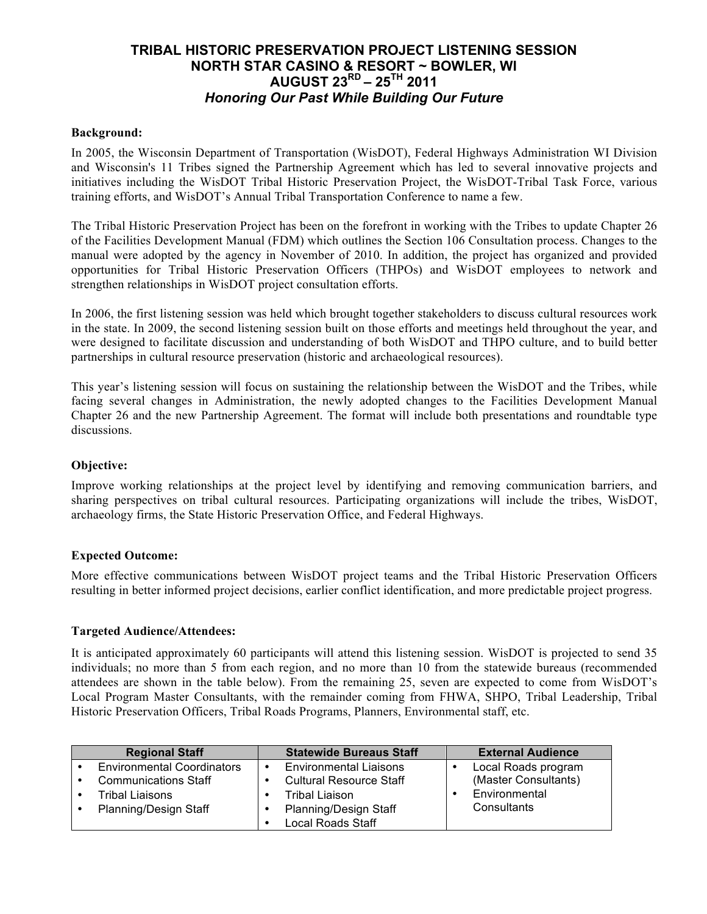# **TRIBAL HISTORIC PRESERVATION PROJECT LISTENING SESSION NORTH STAR CASINO & RESORT ~ BOWLER, WI AUGUST 23RD – 25TH 2011** *Honoring Our Past While Building Our Future*

#### **Background:**

In 2005, the Wisconsin Department of Transportation (WisDOT), Federal Highways Administration WI Division and Wisconsin's 11 Tribes signed the Partnership Agreement which has led to several innovative projects and initiatives including the WisDOT Tribal Historic Preservation Project, the WisDOT-Tribal Task Force, various training efforts, and WisDOT's Annual Tribal Transportation Conference to name a few.

The Tribal Historic Preservation Project has been on the forefront in working with the Tribes to update Chapter 26 of the Facilities Development Manual (FDM) which outlines the Section 106 Consultation process. Changes to the manual were adopted by the agency in November of 2010. In addition, the project has organized and provided opportunities for Tribal Historic Preservation Officers (THPOs) and WisDOT employees to network and strengthen relationships in WisDOT project consultation efforts.

In 2006, the first listening session was held which brought together stakeholders to discuss cultural resources work in the state. In 2009, the second listening session built on those efforts and meetings held throughout the year, and were designed to facilitate discussion and understanding of both WisDOT and THPO culture, and to build better partnerships in cultural resource preservation (historic and archaeological resources).

This year's listening session will focus on sustaining the relationship between the WisDOT and the Tribes, while facing several changes in Administration, the newly adopted changes to the Facilities Development Manual Chapter 26 and the new Partnership Agreement. The format will include both presentations and roundtable type discussions.

#### **Objective:**

Improve working relationships at the project level by identifying and removing communication barriers, and sharing perspectives on tribal cultural resources. Participating organizations will include the tribes, WisDOT, archaeology firms, the State Historic Preservation Office, and Federal Highways.

#### **Expected Outcome:**

More effective communications between WisDOT project teams and the Tribal Historic Preservation Officers resulting in better informed project decisions, earlier conflict identification, and more predictable project progress.

#### **Targeted Audience/Attendees:**

It is anticipated approximately 60 participants will attend this listening session. WisDOT is projected to send 35 individuals; no more than 5 from each region, and no more than 10 from the statewide bureaus (recommended attendees are shown in the table below). From the remaining 25, seven are expected to come from WisDOT's Local Program Master Consultants, with the remainder coming from FHWA, SHPO, Tribal Leadership, Tribal Historic Preservation Officers, Tribal Roads Programs, Planners, Environmental staff, etc.

| <b>Regional Staff</b>             | <b>Statewide Bureaus Staff</b>             | <b>External Audience</b> |
|-----------------------------------|--------------------------------------------|--------------------------|
| <b>Environmental Coordinators</b> | <b>Environmental Liaisons</b><br>$\bullet$ | Local Roads program      |
| <b>Communications Staff</b>       | <b>Cultural Resource Staff</b>             | (Master Consultants)     |
| Tribal Liaisons                   | <b>Tribal Liaison</b>                      | Environmental            |
| <b>Planning/Design Staff</b>      | <b>Planning/Design Staff</b>               | Consultants              |
|                                   | <b>Local Roads Staff</b>                   |                          |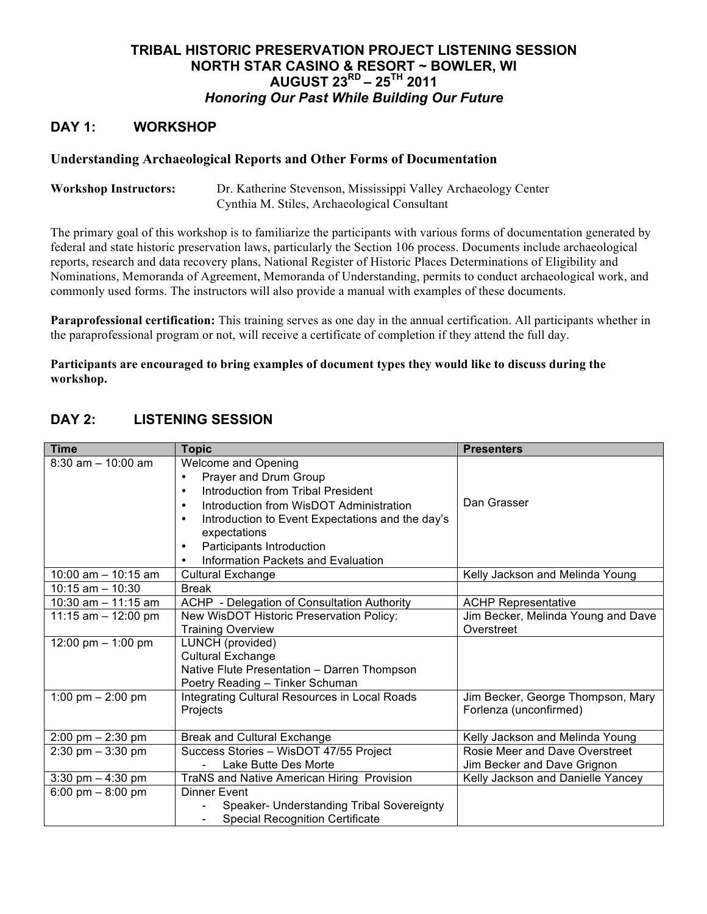# **TRIBAL HISTORIC PRESERVATION PROJECT LISTENING SESSION NORTH STAR CASINO & RESORT ~ BOWLER, WI AUGUST 23RD – 25TH 2011** *Honoring Our Past While Building Our Future*

## **DAY 1: WORKSHOP**

#### **Understanding Archaeological Reports and Other Forms of Documentation**

**Workshop Instructors:** Dr. Katherine Stevenson, Mississippi Valley Archaeology Center Cynthia M. Stiles, Archaeological Consultant

The primary goal of this workshop is to familiarize the participants with various forms of documentation generated by federal and state historic preservation laws, particularly the Section 106 process. Documents include archaeological reports, research and data recovery plans, National Register of Historic Places Determinations of Eligibility and Nominations, Memoranda of Agreement, Memoranda of Understanding, permits to conduct archaeological work, and commonly used forms. The instructors will also provide a manual with examples of these documents.

**Paraprofessional certification:** This training serves as one day in the annual certification. All participants whether in the paraprofessional program or not, will receive a certificate of completion if they attend the full day.

**Participants are encouraged to bring examples of document types they would like to discuss during the workshop.**

| <b>Time</b>                         | <b>Topic</b>                                         | <b>Presenters</b>                  |
|-------------------------------------|------------------------------------------------------|------------------------------------|
| $8:30$ am $-10:00$ am               | <b>Welcome and Opening</b>                           |                                    |
|                                     | Prayer and Drum Group                                |                                    |
|                                     | Introduction from Tribal President<br>$\bullet$      |                                    |
|                                     | Introduction from WisDOT Administration<br>$\bullet$ | Dan Grasser                        |
|                                     | Introduction to Event Expectations and the day's     |                                    |
|                                     | expectations                                         |                                    |
|                                     | Participants Introduction                            |                                    |
|                                     | Information Packets and Evaluation                   |                                    |
| $10:00$ am $- 10:15$ am             | <b>Cultural Exchange</b>                             | Kelly Jackson and Melinda Young    |
| $10:15$ am $- 10:30$                | <b>Break</b>                                         |                                    |
| 10:30 am $-$ 11:15 am               | <b>ACHP</b> - Delegation of Consultation Authority   | <b>ACHP Representative</b>         |
| 11:15 am $-$ 12:00 pm               | New WisDOT Historic Preservation Policy:             | Jim Becker, Melinda Young and Dave |
|                                     | <b>Training Overview</b>                             | Overstreet                         |
| 12:00 pm $-$ 1:00 pm                | LUNCH (provided)                                     |                                    |
|                                     | <b>Cultural Exchange</b>                             |                                    |
|                                     | Native Flute Presentation - Darren Thompson          |                                    |
|                                     | Poetry Reading - Tinker Schuman                      |                                    |
| 1:00 pm $-$ 2:00 pm                 | Integrating Cultural Resources in Local Roads        | Jim Becker, George Thompson, Mary  |
|                                     | Projects                                             | Forlenza (unconfirmed)             |
|                                     |                                                      |                                    |
| $2:00 \text{ pm} - 2:30 \text{ pm}$ | <b>Break and Cultural Exchange</b>                   | Kelly Jackson and Melinda Young    |
| $2:30$ pm $-3:30$ pm                | Success Stories - WisDOT 47/55 Project               | Rosie Meer and Dave Overstreet     |
|                                     | Lake Butte Des Morte                                 | Jim Becker and Dave Grignon        |
| 3:30 pm $-$ 4:30 pm                 | TraNS and Native American Hiring Provision           | Kelly Jackson and Danielle Yancey  |
| 6:00 pm $-$ 8:00 pm                 | Dinner Event                                         |                                    |
|                                     | Speaker- Understanding Tribal Sovereignty            |                                    |
|                                     | <b>Special Recognition Certificate</b>               |                                    |

## **DAY 2: LISTENING SESSION**